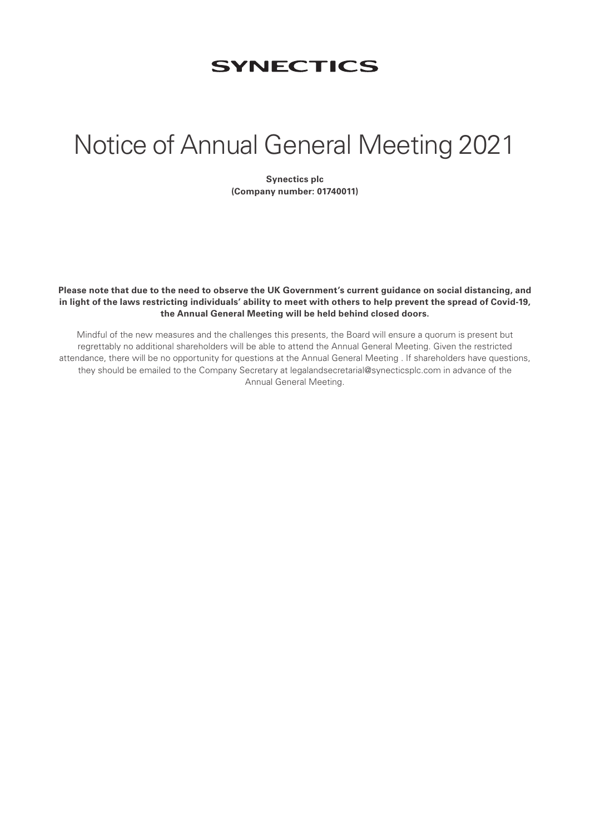# **SYNECTICS**

# Notice of Annual General Meeting 2021

**Synectics plc (Company number: 01740011)**

**Please note that due to the need to observe the UK Government's current guidance on social distancing, and in light of the laws restricting individuals' ability to meet with others to help prevent the spread of Covid-19, the Annual General Meeting will be held behind closed doors.** 

Mindful of the new measures and the challenges this presents, the Board will ensure a quorum is present but regrettably no additional shareholders will be able to attend the Annual General Meeting. Given the restricted attendance, there will be no opportunity for questions at the Annual General Meeting . If shareholders have questions, they should be emailed to the Company Secretary at legalandsecretarial@synecticsplc.com in advance of the Annual General Meeting.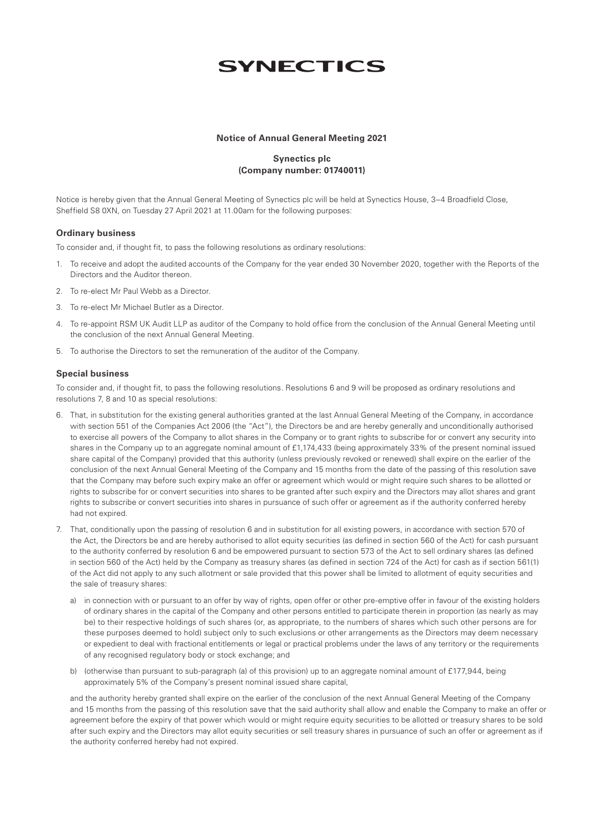# **SYNECTICS**

#### **Notice of Annual General Meeting 2021**

## **Synectics plc (Company number: 01740011)**

Notice is hereby given that the Annual General Meeting of Synectics plc will be held at Synectics House, 3–4 Broadfield Close, Sheffield S8 0XN, on Tuesday 27 April 2021 at 11.00am for the following purposes:

#### **Ordinary business**

To consider and, if thought fit, to pass the following resolutions as ordinary resolutions:

- 1. To receive and adopt the audited accounts of the Company for the year ended 30 November 2020, together with the Reports of the Directors and the Auditor thereon.
- 2. To re-elect Mr Paul Webb as a Director.
- 3. To re-elect Mr Michael Butler as a Director.
- 4. To re-appoint RSM UK Audit LLP as auditor of the Company to hold office from the conclusion of the Annual General Meeting until the conclusion of the next Annual General Meeting.
- 5. To authorise the Directors to set the remuneration of the auditor of the Company.

#### **Special business**

To consider and, if thought fit, to pass the following resolutions. Resolutions 6 and 9 will be proposed as ordinary resolutions and resolutions 7, 8 and 10 as special resolutions:

- 6. That, in substitution for the existing general authorities granted at the last Annual General Meeting of the Company, in accordance with section 551 of the Companies Act 2006 (the "Act"), the Directors be and are hereby generally and unconditionally authorised to exercise all powers of the Company to allot shares in the Company or to grant rights to subscribe for or convert any security into shares in the Company up to an aggregate nominal amount of £1,174,433 (being approximately 33% of the present nominal issued share capital of the Company) provided that this authority (unless previously revoked or renewed) shall expire on the earlier of the conclusion of the next Annual General Meeting of the Company and 15 months from the date of the passing of this resolution save that the Company may before such expiry make an offer or agreement which would or might require such shares to be allotted or rights to subscribe for or convert securities into shares to be granted after such expiry and the Directors may allot shares and grant rights to subscribe or convert securities into shares in pursuance of such offer or agreement as if the authority conferred hereby had not expired.
- 7. That, conditionally upon the passing of resolution 6 and in substitution for all existing powers, in accordance with section 570 of the Act, the Directors be and are hereby authorised to allot equity securities (as defined in section 560 of the Act) for cash pursuant to the authority conferred by resolution 6 and be empowered pursuant to section 573 of the Act to sell ordinary shares (as defined in section 560 of the Act) held by the Company as treasury shares (as defined in section 724 of the Act) for cash as if section 561(1) of the Act did not apply to any such allotment or sale provided that this power shall be limited to allotment of equity securities and the sale of treasury shares:
	- a) in connection with or pursuant to an offer by way of rights, open offer or other pre-emptive offer in favour of the existing holders of ordinary shares in the capital of the Company and other persons entitled to participate therein in proportion (as nearly as may be) to their respective holdings of such shares (or, as appropriate, to the numbers of shares which such other persons are for these purposes deemed to hold) subject only to such exclusions or other arrangements as the Directors may deem necessary or expedient to deal with fractional entitlements or legal or practical problems under the laws of any territory or the requirements of any recognised regulatory body or stock exchange; and
	- b) (otherwise than pursuant to sub-paragraph (a) of this provision) up to an aggregate nominal amount of £177,944, being approximately 5% of the Company's present nominal issued share capital,

 and the authority hereby granted shall expire on the earlier of the conclusion of the next Annual General Meeting of the Company and 15 months from the passing of this resolution save that the said authority shall allow and enable the Company to make an offer or agreement before the expiry of that power which would or might require equity securities to be allotted or treasury shares to be sold after such expiry and the Directors may allot equity securities or sell treasury shares in pursuance of such an offer or agreement as if the authority conferred hereby had not expired.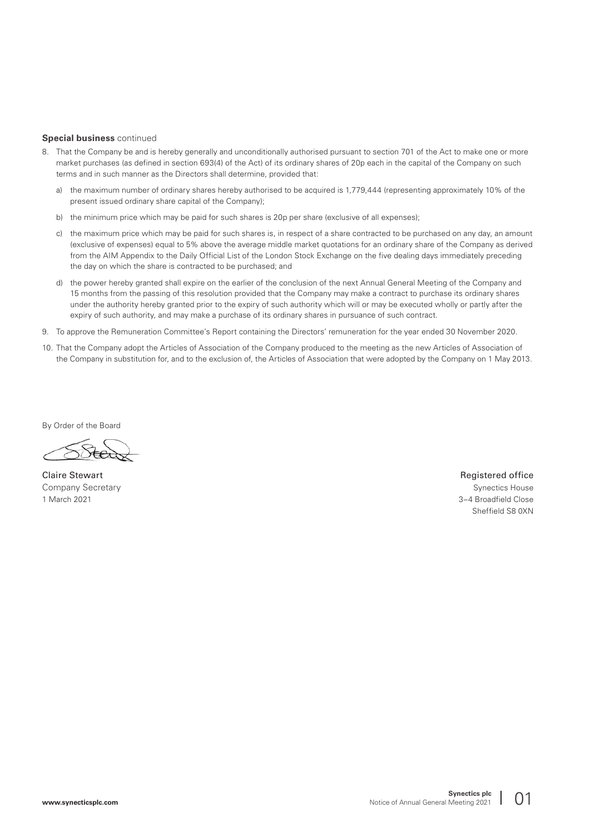#### **Special business** continued

- 8. That the Company be and is hereby generally and unconditionally authorised pursuant to section 701 of the Act to make one or more market purchases (as defined in section 693(4) of the Act) of its ordinary shares of 20p each in the capital of the Company on such terms and in such manner as the Directors shall determine, provided that:
	- a) the maximum number of ordinary shares hereby authorised to be acquired is 1,779,444 (representing approximately 10% of the present issued ordinary share capital of the Company);
	- b) the minimum price which may be paid for such shares is 20p per share (exclusive of all expenses);
	- c) the maximum price which may be paid for such shares is, in respect of a share contracted to be purchased on any day, an amount (exclusive of expenses) equal to 5% above the average middle market quotations for an ordinary share of the Company as derived from the AIM Appendix to the Daily Official List of the London Stock Exchange on the five dealing days immediately preceding the day on which the share is contracted to be purchased; and
	- d) the power hereby granted shall expire on the earlier of the conclusion of the next Annual General Meeting of the Company and 15 months from the passing of this resolution provided that the Company may make a contract to purchase its ordinary shares under the authority hereby granted prior to the expiry of such authority which will or may be executed wholly or partly after the expiry of such authority, and may make a purchase of its ordinary shares in pursuance of such contract.
- 9. To approve the Remuneration Committee's Report containing the Directors' remuneration for the year ended 30 November 2020.
- 10. That the Company adopt the Articles of Association of the Company produced to the meeting as the new Articles of Association of the Company in substitution for, and to the exclusion of, the Articles of Association that were adopted by the Company on 1 May 2013.

By Order of the Board

**Company Secretary Synectics House** Synectics House **Synectics House** Synectics House **Synectics** House **Synectics** House 1 March 2021 3–4 Broadfield Close

Claire Stewart **Registered office** Registered office Sheffield S8 0XN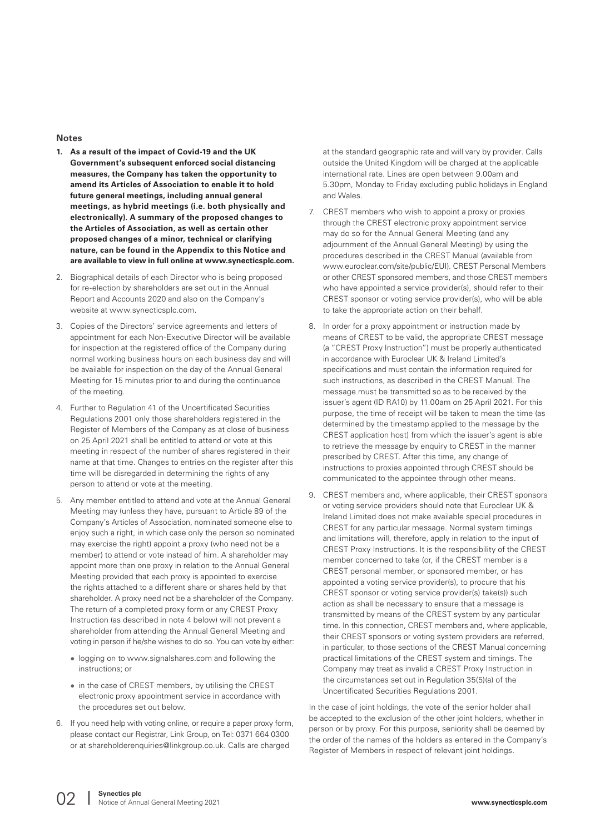#### **Notes**

- **1. As a result of the impact of Covid-19 and the UK Government's subsequent enforced social distancing measures, the Company has taken the opportunity to amend its Articles of Association to enable it to hold future general meetings, including annual general meetings, as hybrid meetings (i.e. both physically and electronically). A summary of the proposed changes to the Articles of Association, as well as certain other proposed changes of a minor, technical or clarifying nature, can be found in the Appendix to this Notice and are available to view in full online at www.synecticsplc.com.**
- 2. Biographical details of each Director who is being proposed for re-election by shareholders are set out in the Annual Report and Accounts 2020 and also on the Company's website at www.synecticsplc.com.
- 3. Copies of the Directors' service agreements and letters of appointment for each Non-Executive Director will be available for inspection at the registered office of the Company during normal working business hours on each business day and will be available for inspection on the day of the Annual General Meeting for 15 minutes prior to and during the continuance of the meeting.
- 4. Further to Regulation 41 of the Uncertificated Securities Regulations 2001 only those shareholders registered in the Register of Members of the Company as at close of business on 25 April 2021 shall be entitled to attend or vote at this meeting in respect of the number of shares registered in their name at that time. Changes to entries on the register after this time will be disregarded in determining the rights of any person to attend or vote at the meeting.
- 5. Any member entitled to attend and vote at the Annual General Meeting may (unless they have, pursuant to Article 89 of the Company's Articles of Association, nominated someone else to enjoy such a right, in which case only the person so nominated may exercise the right) appoint a proxy (who need not be a member) to attend or vote instead of him. A shareholder may appoint more than one proxy in relation to the Annual General Meeting provided that each proxy is appointed to exercise the rights attached to a different share or shares held by that shareholder. A proxy need not be a shareholder of the Company. The return of a completed proxy form or any CREST Proxy Instruction (as described in note 4 below) will not prevent a shareholder from attending the Annual General Meeting and voting in person if he/she wishes to do so. You can vote by either:
	- logging on to www.signalshares.com and following the instructions; or
	- in the case of CREST members, by utilising the CREST electronic proxy appointment service in accordance with the procedures set out below.
- 6. If you need help with voting online, or require a paper proxy form, please contact our Registrar, Link Group, on Tel: 0371 664 0300 or at shareholderenquiries@linkgroup.co.uk. Calls are charged

at the standard geographic rate and will vary by provider. Calls outside the United Kingdom will be charged at the applicable international rate. Lines are open between 9.00am and 5.30pm, Monday to Friday excluding public holidays in England and Wales.

- 7. CREST members who wish to appoint a proxy or proxies through the CREST electronic proxy appointment service may do so for the Annual General Meeting (and any adjournment of the Annual General Meeting) by using the procedures described in the CREST Manual (available from www.euroclear.com/site/public/EUI). CREST Personal Members or other CREST sponsored members, and those CREST members who have appointed a service provider(s), should refer to their CREST sponsor or voting service provider(s), who will be able to take the appropriate action on their behalf.
- 8. In order for a proxy appointment or instruction made by means of CREST to be valid, the appropriate CREST message (a "CREST Proxy Instruction") must be properly authenticated in accordance with Euroclear UK & Ireland Limited's specifications and must contain the information required for such instructions, as described in the CREST Manual. The message must be transmitted so as to be received by the issuer's agent (ID RA10) by 11.00am on 25 April 2021. For this purpose, the time of receipt will be taken to mean the time (as determined by the timestamp applied to the message by the CREST application host) from which the issuer's agent is able to retrieve the message by enquiry to CREST in the manner prescribed by CREST. After this time, any change of instructions to proxies appointed through CREST should be communicated to the appointee through other means.
- 9. CREST members and, where applicable, their CREST sponsors or voting service providers should note that Euroclear UK & Ireland Limited does not make available special procedures in CREST for any particular message. Normal system timings and limitations will, therefore, apply in relation to the input of CREST Proxy Instructions. It is the responsibility of the CREST member concerned to take (or, if the CREST member is a CREST personal member, or sponsored member, or has appointed a voting service provider(s), to procure that his CREST sponsor or voting service provider(s) take(s)) such action as shall be necessary to ensure that a message is transmitted by means of the CREST system by any particular time. In this connection, CREST members and, where applicable, their CREST sponsors or voting system providers are referred, in particular, to those sections of the CREST Manual concerning practical limitations of the CREST system and timings. The Company may treat as invalid a CREST Proxy Instruction in the circumstances set out in Regulation 35(5)(a) of the Uncertificated Securities Regulations 2001.

In the case of joint holdings, the vote of the senior holder shall be accepted to the exclusion of the other joint holders, whether in person or by proxy. For this purpose, seniority shall be deemed by the order of the names of the holders as entered in the Company's Register of Members in respect of relevant joint holdings.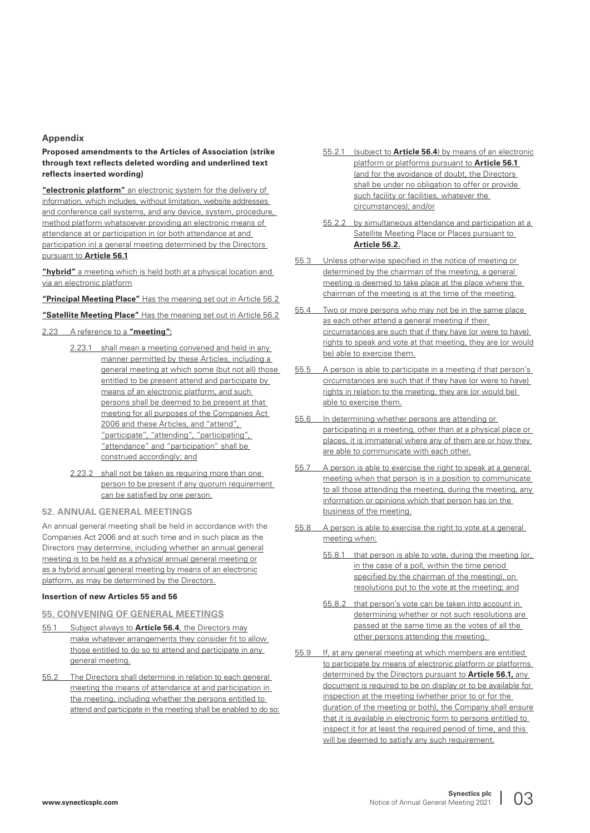#### **Appendix**

**Proposed amendments to the Articles of Association (strike through text reflects deleted wording and underlined text reflects inserted wording)**

**"electronic platform"** an electronic system for the delivery of information, which includes, without limitation, website addresses and conference call systems, and any device, system, procedure, method platform whatsoever providing an electronic means of attendance at or participation in (or both attendance at and participation in) a general meeting determined by the Directors pursuant to **Article 56.1**

**"hybrid"** a meeting which is held both at a physical location and via an electronic platform

**"Principal Meeting Place"** Has the meaning set out in Article 56.2

**"Satellite Meeting Place"** Has the meaning set out in Article 56.2

## 2.23 A reference to a **"meeting":**

- 2.23.1 shall mean a meeting convened and held in any manner permitted by these Articles, including a general meeting at which some (but not all) those entitled to be present attend and participate by means of an electronic platform, and such persons shall be deemed to be present at that meeting for all purposes of the Companies Act 2006 and these Articles, and "attend", "participate", "attending", "participating", "attendance" and "participation" shall be construed accordingly; and
- 2.23.2 shall not be taken as requiring more than one person to be present if any quorum requirement can be satisfied by one person.

#### **52. ANNUAL GENERAL MEETINGS**

An annual general meeting shall be held in accordance with the Companies Act 2006 and at such time and in such place as the Directors may determine, including whether an annual general meeting is to be held as a physical annual general meeting or as a hybrid annual general meeting by means of an electronic platform, as may be determined by the Directors.

#### **Insertion of new Articles 55 and 56**

#### **55. CONVENING OF GENERAL MEETINGS**

- 55.1 Subject always to **Article 56.4**, the Directors may make whatever arrangements they consider fit to allow those entitled to do so to attend and participate in any general meeting.
- 55.2 The Directors shall determine in relation to each general meeting the means of attendance at and participation in the meeting, including whether the persons entitled to attend and participate in the meeting shall be enabled to do so:
- 55.2.1 (subject to **Article 56.4**) by means of an electronic platform or platforms pursuant to **Article 56.1** (and for the avoidance of doubt, the Directors shall be under no obligation to offer or provide such facility or facilities, whatever the circumstances); and/or
- 55.2.2 by simultaneous attendance and participation at a Satellite Meeting Place or Places pursuant to **Article 56.2.**
- 55.3 Unless otherwise specified in the notice of meeting or determined by the chairman of the meeting, a general meeting is deemed to take place at the place where the chairman of the meeting is at the time of the meeting.
- 55.4 Two or more persons who may not be in the same place as each other attend a general meeting if their circumstances are such that if they have (or were to have) rights to speak and vote at that meeting, they are (or would be) able to exercise them.
- 55.5 A person is able to participate in a meeting if that person's circumstances are such that if they have (or were to have) rights in relation to the meeting, they are (or would be) able to exercise them.
- 55.6 In determining whether persons are attending or participating in a meeting, other than at a physical place or places, it is immaterial where any of them are or how they are able to communicate with each other.
- 55.7 A person is able to exercise the right to speak at a general meeting when that person is in a position to communicate to all those attending the meeting, during the meeting, any information or opinions which that person has on the business of the meeting.
- 55.8 A person is able to exercise the right to vote at a general meeting when:
	- 55.8.1 that person is able to vote, during the meeting (or, in the case of a poll, within the time period specified by the chairman of the meeting), on resolutions put to the vote at the meeting; and
	- 55.8.2 that person's vote can be taken into account in determining whether or not such resolutions are passed at the same time as the votes of all the other persons attending the meeting.
- 55.9 If, at any general meeting at which members are entitled to participate by means of electronic platform or platforms determined by the Directors pursuant to **Article 56.1,** any document is required to be on display or to be available for inspection at the meeting (whether prior to or for the duration of the meeting or both), the Company shall ensure that it is available in electronic form to persons entitled to inspect it for at least the required period of time, and this will be deemed to satisfy any such requirement.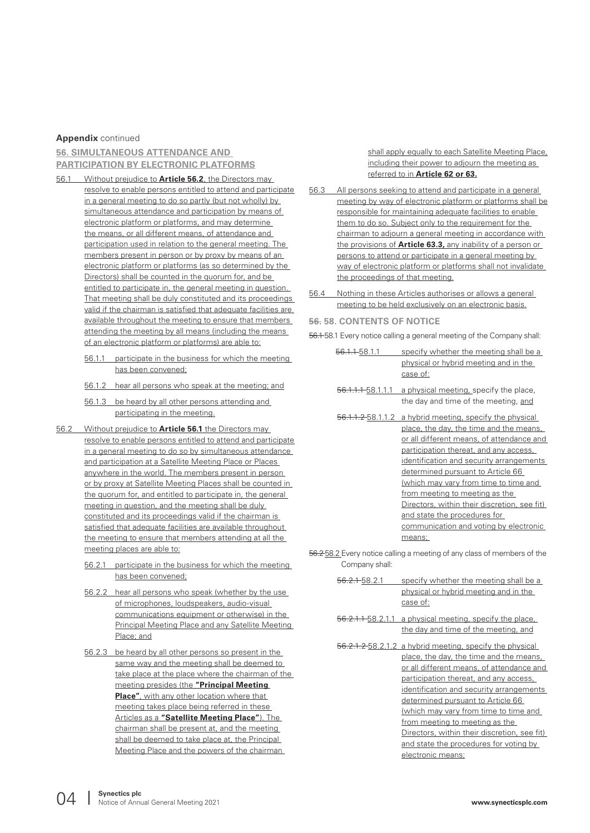#### **Appendix** continued

#### **56. SIMULTANEOUS ATTENDANCE AND PARTICIPATION BY ELECTRONIC PLATFORMS**

- 56.1 Without prejudice to **Article 56.2**, the Directors may resolve to enable persons entitled to attend and participate in a general meeting to do so partly (but not wholly) by simultaneous attendance and participation by means of electronic platform or platforms, and may determine the means, or all different means, of attendance and participation used in relation to the general meeting. The members present in person or by proxy by means of an electronic platform or platforms (as so determined by the Directors) shall be counted in the quorum for, and be entitled to participate in, the general meeting in question. That meeting shall be duly constituted and its proceedings valid if the chairman is satisfied that adequate facilities are available throughout the meeting to ensure that members attending the meeting by all means (including the means of an electronic platform or platforms) are able to:
	- 56.1.1 participate in the business for which the meeting has been convened;
	- 56.1.2 hear all persons who speak at the meeting; and
	- 56.1.3 be heard by all other persons attending and participating in the meeting.
- 56.2 Without prejudice to **Article 56.1** the Directors may resolve to enable persons entitled to attend and participate in a general meeting to do so by simultaneous attendance and participation at a Satellite Meeting Place or Places anywhere in the world. The members present in person or by proxy at Satellite Meeting Places shall be counted in the quorum for, and entitled to participate in, the general meeting in question, and the meeting shall be duly constituted and its proceedings valid if the chairman is satisfied that adequate facilities are available throughout the meeting to ensure that members attending at all the meeting places are able to:
	- 56.2.1 participate in the business for which the meeting has been convened;
	- 56.2.2 hear all persons who speak (whether by the use of microphones, loudspeakers, audio-visual communications equipment or otherwise) in the Principal Meeting Place and any Satellite Meeting Place; and
	- 56.2.3 be heard by all other persons so present in the same way and the meeting shall be deemed to take place at the place where the chairman of the meeting presides (the **"Principal Meeting Place"**, with any other location where that meeting takes place being referred in these Articles as a **"Satellite Meeting Place"**). The chairman shall be present at, and the meeting shall be deemed to take place at, the Principal Meeting Place and the powers of the chairman

shall apply equally to each Satellite Meeting Place, including their power to adjourn the meeting as referred to in **Article 62 or 63.**

- 56.3 All persons seeking to attend and participate in a general meeting by way of electronic platform or platforms shall be responsible for maintaining adequate facilities to enable them to do so. Subject only to the requirement for the chairman to adjourn a general meeting in accordance with the provisions of **Article 63.3,** any inability of a person or persons to attend or participate in a general meeting by way of electronic platform or platforms shall not invalidate the proceedings of that meeting.
- 56.4 Nothing in these Articles authorises or allows a general meeting to be held exclusively on an electronic basis.

#### **56. 58. CONTENTS OF NOTICE**

56.1 58.1 Every notice calling a general meeting of the Company shall:

- 56.1.1 58.1.1 specify whether the meeting shall be a physical or hybrid meeting and in the case of:
- 56.1.1.1 58.1.1.1 a physical meeting, specify the place, the day and time of the meeting, and
- 56.1.1.2 58.1.1.2 a hybrid meeting, specify the physical place, the day, the time and the means, or all different means, of attendance and participation thereat, and any access, identification and security arrangements determined pursuant to Article 66 (which may vary from time to time and from meeting to meeting as the Directors, within their discretion, see fit) and state the procedures for communication and voting by electronic means;
- 56.2 58.2 Every notice calling a meeting of any class of members of the Company shall:
	- 56.2.1 58.2.1 specify whether the meeting shall be a physical or hybrid meeting and in the case of:
	- 56.2.1.1 58.2.1.1 a physical meeting, specify the place, the day and time of the meeting, and
	- 56.2.1.2 58.2.1.2 a hybrid meeting, specify the physical place, the day, the time and the means, or all different means, of attendance and participation thereat, and any access, identification and security arrangements determined pursuant to Article 66 (which may vary from time to time and from meeting to meeting as the Directors, within their discretion, see fit) and state the procedures for voting by electronic means;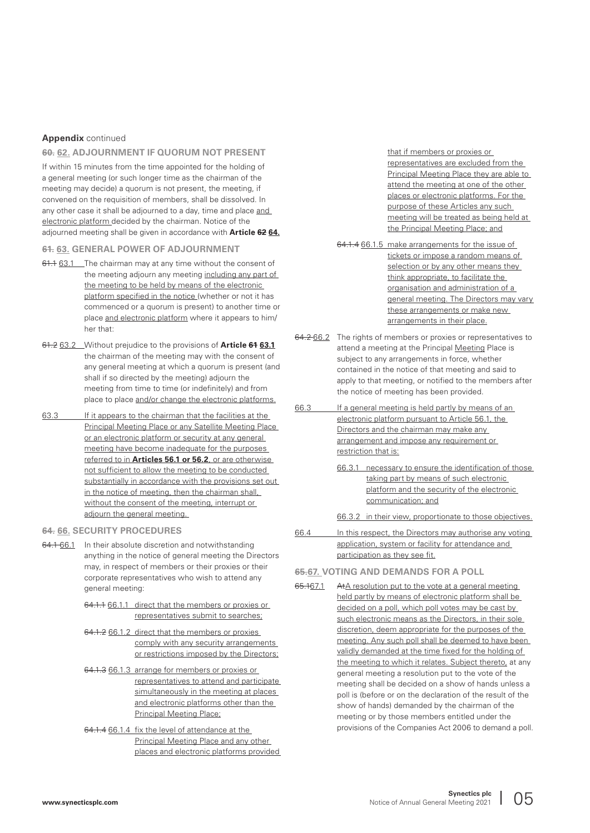#### **Appendix** continued

#### **60. 62. ADJOURNMENT IF QUORUM NOT PRESENT**

If within 15 minutes from the time appointed for the holding of a general meeting (or such longer time as the chairman of the meeting may decide) a quorum is not present, the meeting, if convened on the requisition of members, shall be dissolved. In any other case it shall be adjourned to a day, time and place and electronic platform decided by the chairman. Notice of the adjourned meeting shall be given in accordance with **Article 62 64.**

#### **61. 63. GENERAL POWER OF ADJOURNMENT**

- 61.1 63.1 The chairman may at any time without the consent of the meeting adjourn any meeting including any part of the meeting to be held by means of the electronic platform specified in the notice (whether or not it has commenced or a quorum is present) to another time or place and electronic platform where it appears to him/ her that:
- 61.2 63.2 Without prejudice to the provisions of **Article 61 63.1** the chairman of the meeting may with the consent of any general meeting at which a quorum is present (and shall if so directed by the meeting) adjourn the meeting from time to time (or indefinitely) and from place to place and/or change the electronic platforms.
- 63.3 If it appears to the chairman that the facilities at the Principal Meeting Place or any Satellite Meeting Place or an electronic platform or security at any general meeting have become inadequate for the purposes referred to in **Articles 56.1 or 56.2**, or are otherwise not sufficient to allow the meeting to be conducted substantially in accordance with the provisions set out in the notice of meeting, then the chairman shall, without the consent of the meeting, interrupt or adjourn the general meeting.

#### **64. 66. SECURITY PROCEDURES**

- 64.1 66.1 In their absolute discretion and notwithstanding anything in the notice of general meeting the Directors may, in respect of members or their proxies or their corporate representatives who wish to attend any general meeting:
	- 64.1.1 66.1.1 direct that the members or proxies or representatives submit to searches;
	- 64.1.2 66.1.2 direct that the members or proxies comply with any security arrangements or restrictions imposed by the Directors;
	- 64.1.3 66.1.3 arrange for members or proxies or representatives to attend and participate simultaneously in the meeting at places and electronic platforms other than the Principal Meeting Place;
	- 64.1.4 66.1.4 fix the level of attendance at the Principal Meeting Place and any other places and electronic platforms provided

that if members or proxies or representatives are excluded from the Principal Meeting Place they are able to attend the meeting at one of the other places or electronic platforms. For the purpose of these Articles any such meeting will be treated as being held at the Principal Meeting Place; and

- 64.1.4 66.1.5 make arrangements for the issue of tickets or impose a random means of selection or by any other means they think appropriate, to facilitate the organisation and administration of a general meeting. The Directors may vary these arrangements or make new arrangements in their place.
- 64.2 66.2 The rights of members or proxies or representatives to attend a meeting at the Principal Meeting Place is subject to any arrangements in force, whether contained in the notice of that meeting and said to apply to that meeting, or notified to the members after the notice of meeting has been provided.
- 66.3 If a general meeting is held partly by means of an electronic platform pursuant to Article 56.1, the Directors and the chairman may make any arrangement and impose any requirement or restriction that is:
	- 66.3.1 necessary to ensure the identification of those taking part by means of such electronic platform and the security of the electronic communication; and
	- 66.3.2 in their view, proportionate to those objectives.
- 66.4 In this respect, the Directors may authorise any voting application, system or facility for attendance and participation as they see fit.
- **65.67. VOTING AND DEMANDS FOR A POLL**
- 65.167.1 AtA resolution put to the vote at a general meeting held partly by means of electronic platform shall be decided on a poll, which poll votes may be cast by such electronic means as the Directors, in their sole discretion, deem appropriate for the purposes of the meeting. Any such poll shall be deemed to have been validly demanded at the time fixed for the holding of the meeting to which it relates. Subject thereto, at any general meeting a resolution put to the vote of the meeting shall be decided on a show of hands unless a poll is (before or on the declaration of the result of the show of hands) demanded by the chairman of the meeting or by those members entitled under the provisions of the Companies Act 2006 to demand a poll.